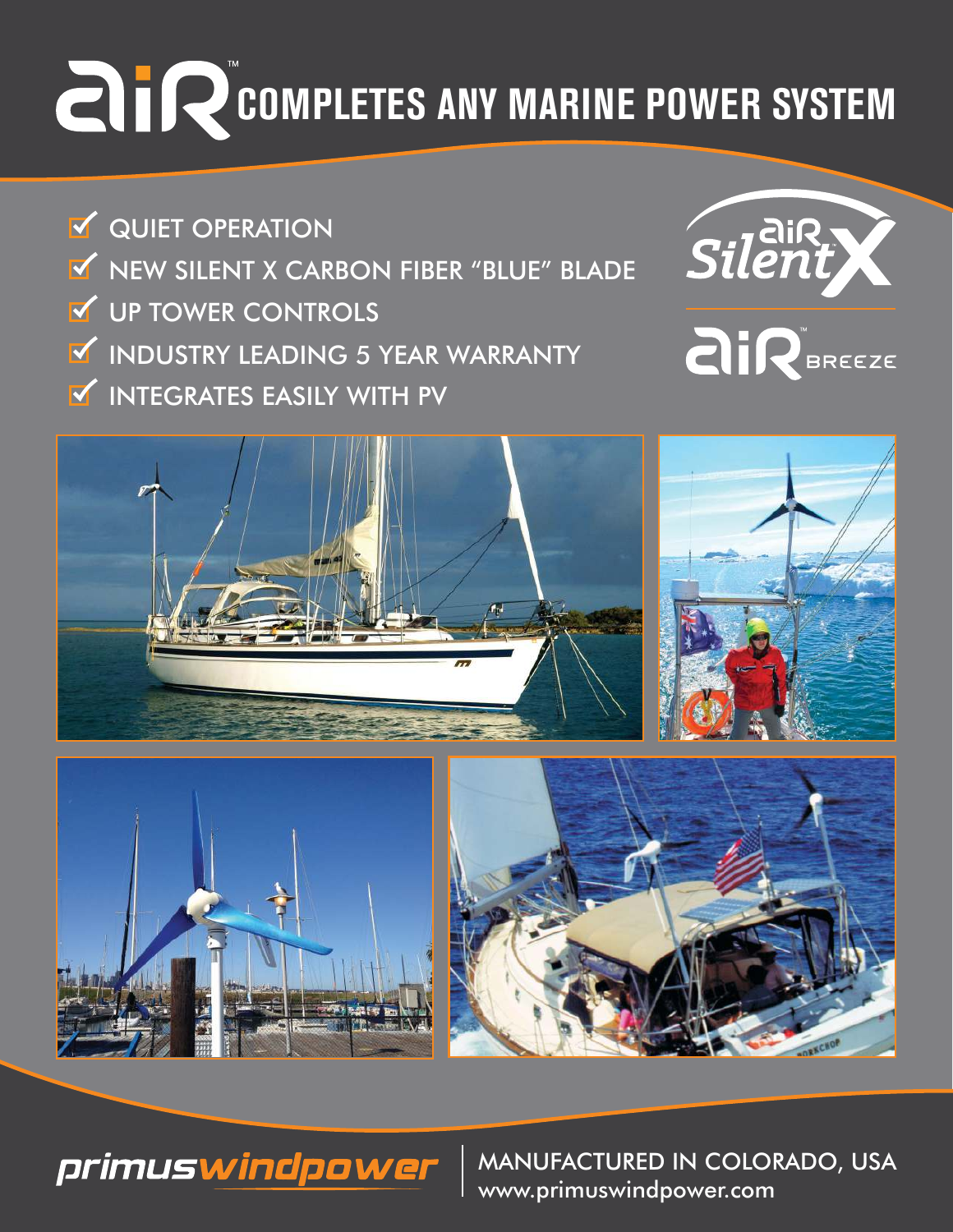## **COMPLETES ANY MARINE POWER SYSTEM**

**V** QUIET OPERATION **V** UP TOWER CONTROLS NEW SILENT X CARBON FIBER "BLUE" BLADE **INDUSTRY LEADING 5 YEAR WARRANTY INTEGRATES EASILY WITH PV** 











MANUFACTURED IN COLORADO, USA www.primuswindpower.com